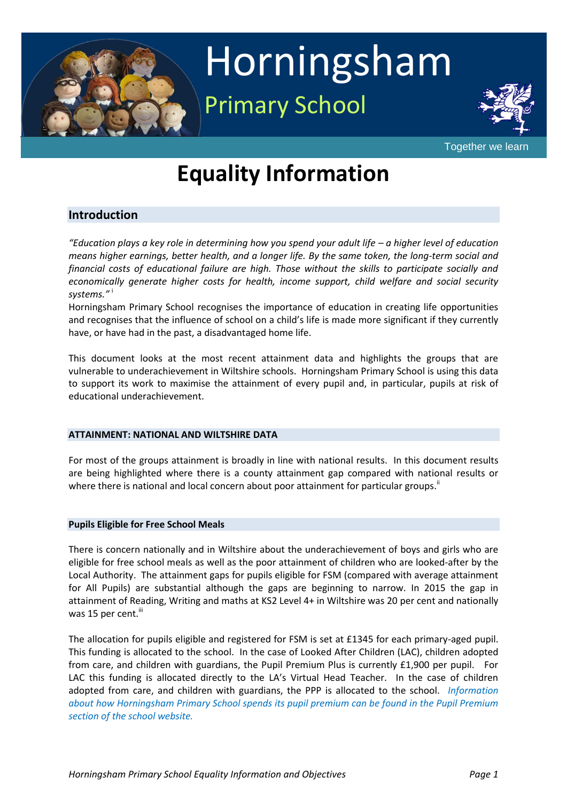

# Horningsham Primary School



Together we learn

## **Equality Information**

#### **Introduction**

*"Education plays a key role in determining how you spend your adult life – a higher level of education means higher earnings, better health, and a longer life. By the same token, the long-term social and financial costs of educational failure are high. Those without the skills to participate socially and economically generate higher costs for health, income support, child welfare and social security systems."* <sup>i</sup>

Horningsham Primary School recognises the importance of education in creating life opportunities and recognises that the influence of school on a child's life is made more significant if they currently have, or have had in the past, a disadvantaged home life.

This document looks at the most recent attainment data and highlights the groups that are vulnerable to underachievement in Wiltshire schools. Horningsham Primary School is using this data to support its work to maximise the attainment of every pupil and, in particular, pupils at risk of educational underachievement.

#### **ATTAINMENT: NATIONAL AND WILTSHIRE DATA**

For most of the groups attainment is broadly in line with national results. In this document results are being highlighted where there is a county attainment gap compared with national results or where there is national and local concern about poor attainment for particular groups.<sup>"</sup>

#### **Pupils Eligible for Free School Meals**

There is concern nationally and in Wiltshire about the underachievement of boys and girls who are eligible for free school meals as well as the poor attainment of children who are looked-after by the Local Authority. The attainment gaps for pupils eligible for FSM (compared with average attainment for All Pupils) are substantial although the gaps are beginning to narrow. In 2015 the gap in attainment of Reading, Writing and maths at KS2 Level 4+ in Wiltshire was 20 per cent and nationally was 15 per cent.<sup>iii</sup>

The allocation for pupils eligible and registered for FSM is set at £1345 for each primary-aged pupil. This funding is allocated to the school. In the case of Looked After Children (LAC), children adopted from care, and children with guardians, the Pupil Premium Plus is currently £1,900 per pupil. For LAC this funding is allocated directly to the LA's Virtual Head Teacher. In the case of children adopted from care, and children with guardians, the PPP is allocated to the school.*Information about how Horningsham Primary School spends its pupil premium can be found in the Pupil Premium section of the school website.*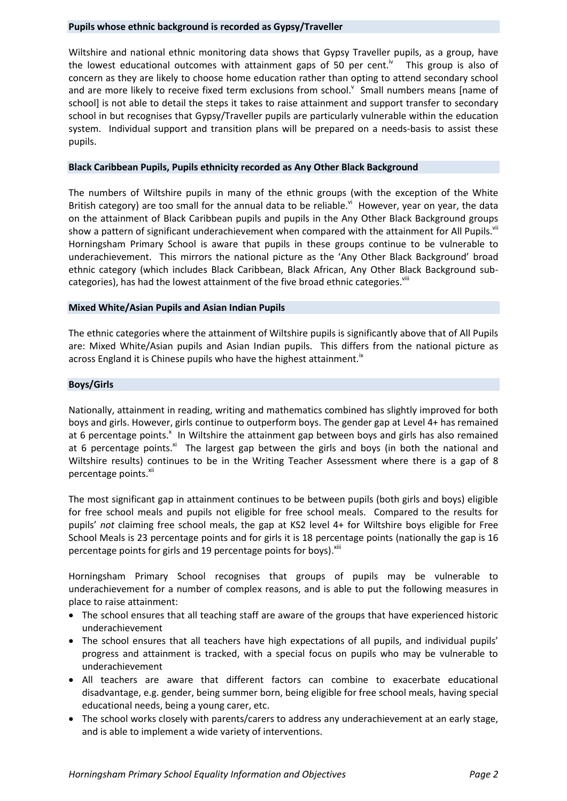#### **Pupils whose ethnic background is recorded as Gypsy/Traveller**

Wiltshire and national ethnic monitoring data shows that Gypsy Traveller pupils, as a group, have the lowest educational outcomes with attainment gaps of 50 per cent.<sup>10</sup> This group is also of concern as they are likely to choose home education rather than opting to attend secondary school and are more likely to receive fixed term exclusions from school. Small numbers means [name of school] is not able to detail the steps it takes to raise attainment and support transfer to secondary school in but recognises that Gypsy/Traveller pupils are particularly vulnerable within the education system. Individual support and transition plans will be prepared on a needs-basis to assist these pupils.

#### **Black Caribbean Pupils, Pupils ethnicity recorded as Any Other Black Background**

The numbers of Wiltshire pupils in many of the ethnic groups (with the exception of the White British category) are too small for the annual data to be reliable.<sup>vi</sup> However, year on year, the data on the attainment of Black Caribbean pupils and pupils in the Any Other Black Background groups show a pattern of significant underachievement when compared with the attainment for All Pupils.<sup>vii</sup> Horningsham Primary School is aware that pupils in these groups continue to be vulnerable to underachievement. This mirrors the national picture as the 'Any Other Black Background' broad ethnic category (which includes Black Caribbean, Black African, Any Other Black Background subcategories), has had the lowest attainment of the five broad ethnic categories.<sup>viii</sup>

#### **Mixed White/Asian Pupils and Asian Indian Pupils**

The ethnic categories where the attainment of Wiltshire pupils is significantly above that of All Pupils are: Mixed White/Asian pupils and Asian Indian pupils. This differs from the national picture as across England it is Chinese pupils who have the highest attainment.<sup>ix</sup>

#### **Boys/Girls**

Nationally, attainment in reading, writing and mathematics combined has slightly improved for both boys and girls. However, girls continue to outperform boys. The gender gap at Level 4+ has remained at 6 percentage points.<sup>x</sup> In Wiltshire the attainment gap between boys and girls has also remained at 6 percentage points. $^{xi}$  The largest gap between the girls and boys (in both the national and Wiltshire results) continues to be in the Writing Teacher Assessment where there is a gap of 8 percentage points.<sup>xii</sup>

The most significant gap in attainment continues to be between pupils (both girls and boys) eligible for free school meals and pupils not eligible for free school meals. Compared to the results for pupils' *not* claiming free school meals, the gap at KS2 level 4+ for Wiltshire boys eligible for Free School Meals is 23 percentage points and for girls it is 18 percentage points (nationally the gap is 16 percentage points for girls and 19 percentage points for boys). Xill

Horningsham Primary School recognises that groups of pupils may be vulnerable to underachievement for a number of complex reasons, and is able to put the following measures in place to raise attainment:

- The school ensures that all teaching staff are aware of the groups that have experienced historic underachievement
- The school ensures that all teachers have high expectations of all pupils, and individual pupils' progress and attainment is tracked, with a special focus on pupils who may be vulnerable to underachievement
- All teachers are aware that different factors can combine to exacerbate educational disadvantage, e.g. gender, being summer born, being eligible for free school meals, having special educational needs, being a young carer, etc.
- The school works closely with parents/carers to address any underachievement at an early stage, and is able to implement a wide variety of interventions.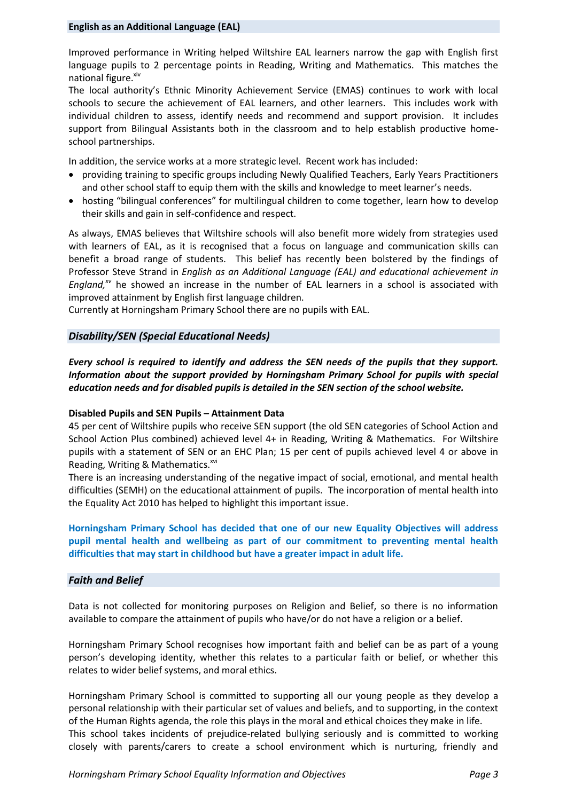Improved performance in Writing helped Wiltshire EAL learners narrow the gap with English first language pupils to 2 percentage points in Reading, Writing and Mathematics. This matches the national figure. Xiv

The local authority's Ethnic Minority Achievement Service (EMAS) continues to work with local schools to secure the achievement of EAL learners, and other learners. This includes work with individual children to assess, identify needs and recommend and support provision. It includes support from Bilingual Assistants both in the classroom and to help establish productive homeschool partnerships.

In addition, the service works at a more strategic level. Recent work has included:

- providing training to specific groups including Newly Qualified Teachers, Early Years Practitioners and other school staff to equip them with the skills and knowledge to meet learner's needs.
- hosting "bilingual conferences" for multilingual children to come together, learn how to develop their skills and gain in self-confidence and respect.

As always, EMAS believes that Wiltshire schools will also benefit more widely from strategies used with learners of EAL, as it is recognised that a focus on language and communication skills can benefit a broad range of students. This belief has recently been bolstered by the findings of Professor Steve Strand in *English as an Additional Language (EAL) and educational achievement in England,xv* he showed an increase in the number of EAL learners in a school is associated with improved attainment by English first language children.

Currently at Horningsham Primary School there are no pupils with EAL.

#### *Disability/SEN (Special Educational Needs)*

*Every school is required to identify and address the SEN needs of the pupils that they support. Information about the support provided by Horningsham Primary School for pupils with special education needs and for disabled pupils is detailed in the SEN section of the school website.* 

#### **Disabled Pupils and SEN Pupils – Attainment Data**

45 per cent of Wiltshire pupils who receive SEN support (the old SEN categories of School Action and School Action Plus combined) achieved level 4+ in Reading, Writing & Mathematics. For Wiltshire pupils with a statement of SEN or an EHC Plan; 15 per cent of pupils achieved level 4 or above in Reading, Writing & Mathematics.<sup>xvi</sup>

There is an increasing understanding of the negative impact of social, emotional, and mental health difficulties (SEMH) on the educational attainment of pupils. The incorporation of mental health into the Equality Act 2010 has helped to highlight this important issue.

#### **Horningsham Primary School has decided that one of our new Equality Objectives will address pupil mental health and wellbeing as part of our commitment to preventing mental health difficulties that may start in childhood but have a greater impact in adult life.**

#### *Faith and Belief*

Data is not collected for monitoring purposes on Religion and Belief, so there is no information available to compare the attainment of pupils who have/or do not have a religion or a belief.

Horningsham Primary School recognises how important faith and belief can be as part of a young person's developing identity, whether this relates to a particular faith or belief, or whether this relates to wider belief systems, and moral ethics.

Horningsham Primary School is committed to supporting all our young people as they develop a personal relationship with their particular set of values and beliefs, and to supporting, in the context of the Human Rights agenda, the role this plays in the moral and ethical choices they make in life. This school takes incidents of prejudice-related bullying seriously and is committed to working closely with parents/carers to create a school environment which is nurturing, friendly and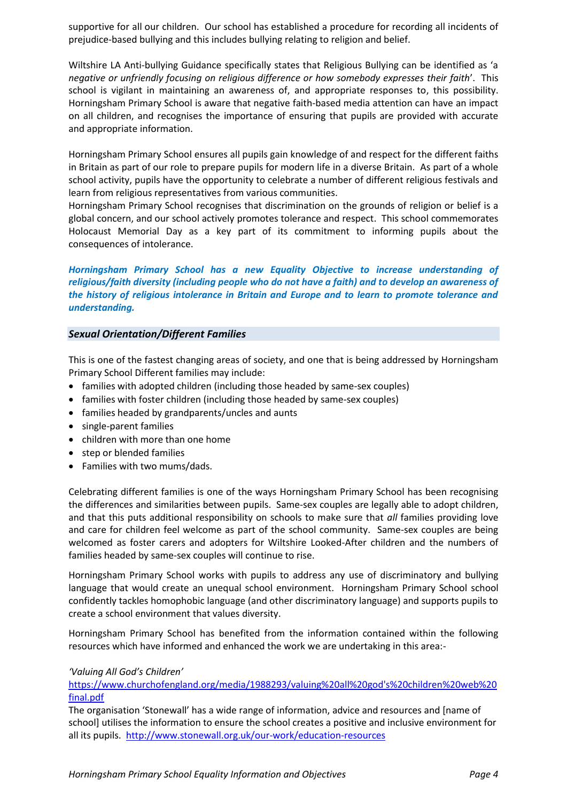supportive for all our children. Our school has established a procedure for recording all incidents of prejudice-based bullying and this includes bullying relating to religion and belief.

Wiltshire LA Anti-bullying Guidance specifically states that Religious Bullying can be identified as 'a *negative or unfriendly focusing on religious difference or how somebody expresses their faith*'. This school is vigilant in maintaining an awareness of, and appropriate responses to, this possibility. Horningsham Primary School is aware that negative faith-based media attention can have an impact on all children, and recognises the importance of ensuring that pupils are provided with accurate and appropriate information.

Horningsham Primary School ensures all pupils gain knowledge of and respect for the different faiths in Britain as part of our role to prepare pupils for modern life in a diverse Britain. As part of a whole school activity, pupils have the opportunity to celebrate a number of different religious festivals and learn from religious representatives from various communities.

Horningsham Primary School recognises that discrimination on the grounds of religion or belief is a global concern, and our school actively promotes tolerance and respect. This school commemorates Holocaust Memorial Day as a key part of its commitment to informing pupils about the consequences of intolerance.

*Horningsham Primary School has a new Equality Objective to increase understanding of religious/faith diversity (including people who do not have a faith) and to develop an awareness of the history of religious intolerance in Britain and Europe and to learn to promote tolerance and understanding.* 

#### *Sexual Orientation/Different Families*

This is one of the fastest changing areas of society, and one that is being addressed by Horningsham Primary School Different families may include:

- families with adopted children (including those headed by same-sex couples)
- families with foster children (including those headed by same-sex couples)
- families headed by grandparents/uncles and aunts
- single-parent families
- children with more than one home
- step or blended families
- Families with two mums/dads.

Celebrating different families is one of the ways Horningsham Primary School has been recognising the differences and similarities between pupils. Same-sex couples are legally able to adopt children, and that this puts additional responsibility on schools to make sure that *all* families providing love and care for children feel welcome as part of the school community. Same-sex couples are being welcomed as foster carers and adopters for Wiltshire Looked-After children and the numbers of families headed by same-sex couples will continue to rise.

Horningsham Primary School works with pupils to address any use of discriminatory and bullying language that would create an unequal school environment. Horningsham Primary School school confidently tackles homophobic language (and other discriminatory language) and supports pupils to create a school environment that values diversity.

Horningsham Primary School has benefited from the information contained within the following resources which have informed and enhanced the work we are undertaking in this area:-

#### *'Valuing All God's Children'*

[https://www.churchofengland.org/media/1988293/valuing%20all%20god's%20children%20web%20](https://www.churchofengland.org/media/1988293/valuing%20all%20god) [final.pdf](https://www.churchofengland.org/media/1988293/valuing%20all%20god)

The organisation 'Stonewall' has a wide range of information, advice and resources and [name of school] utilises the information to ensure the school creates a positive and inclusive environment for all its pupils. <http://www.stonewall.org.uk/our-work/education-resources>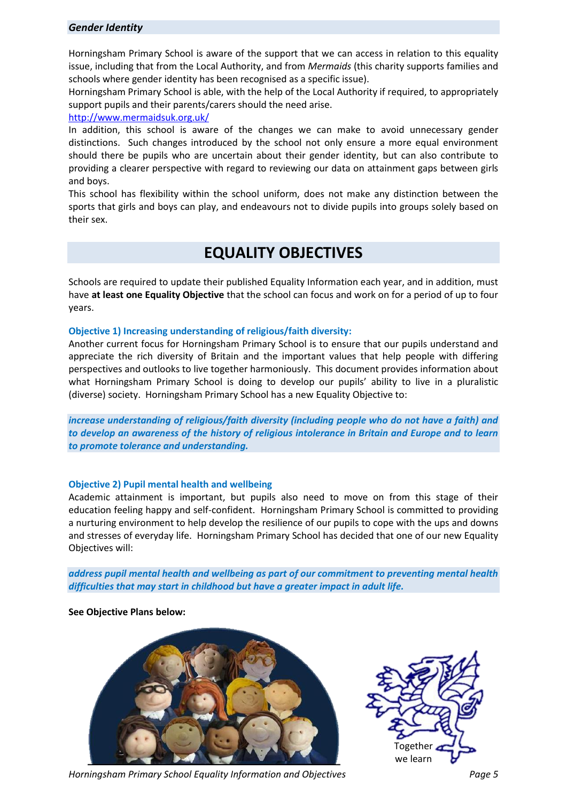#### *Gender Identity*

Horningsham Primary School is aware of the support that we can access in relation to this equality issue, including that from the Local Authority, and from *Mermaids* (this charity supports families and schools where gender identity has been recognised as a specific issue).

Horningsham Primary School is able, with the help of the Local Authority if required, to appropriately support pupils and their parents/carers should the need arise.

#### <http://www.mermaidsuk.org.uk/>

In addition, this school is aware of the changes we can make to avoid unnecessary gender distinctions. Such changes introduced by the school not only ensure a more equal environment should there be pupils who are uncertain about their gender identity, but can also contribute to providing a clearer perspective with regard to reviewing our data on attainment gaps between girls and boys.

This school has flexibility within the school uniform, does not make any distinction between the sports that girls and boys can play, and endeavours not to divide pupils into groups solely based on their sex.

#### **EQUALITY OBJECTIVES**

Schools are required to update their published Equality Information each year, and in addition, must have **at least one Equality Objective** that the school can focus and work on for a period of up to four years.

#### **Objective 1) Increasing understanding of religious/faith diversity:**

Another current focus for Horningsham Primary School is to ensure that our pupils understand and appreciate the rich diversity of Britain and the important values that help people with differing perspectives and outlooks to live together harmoniously. This document provides information about what Horningsham Primary School is doing to develop our pupils' ability to live in a pluralistic (diverse) society. Horningsham Primary School has a new Equality Objective to:

*increase understanding of religious/faith diversity (including people who do not have a faith) and to develop an awareness of the history of religious intolerance in Britain and Europe and to learn to promote tolerance and understanding.* 

#### **Objective 2) Pupil mental health and wellbeing**

Academic attainment is important, but pupils also need to move on from this stage of their education feeling happy and self-confident. Horningsham Primary School is committed to providing a nurturing environment to help develop the resilience of our pupils to cope with the ups and downs and stresses of everyday life. Horningsham Primary School has decided that one of our new Equality Objectives will:

*address pupil mental health and wellbeing as part of our commitment to preventing mental health difficulties that may start in childhood but have a greater impact in adult life.* 

#### **See Objective Plans below:**





*Horningsham Primary School Equality Information and Objectives Page 5*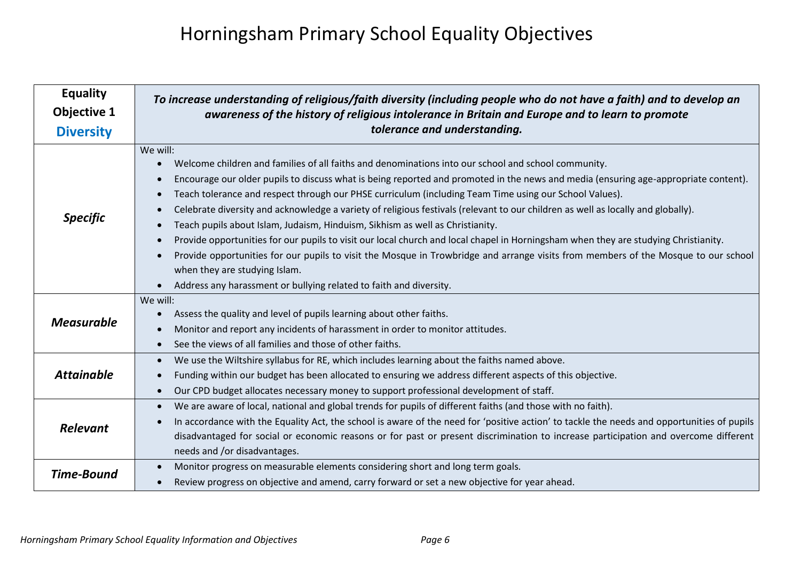### Horningsham Primary School Equality Objectives

| <b>Equality</b>    | To increase understanding of religious/faith diversity (including people who do not have a faith) and to develop an                                                                                                                                                                                                                                                                                                                                                                                                                                                                                                                                                                                                                                                                                                                                                                                                                                                                                              |  |  |
|--------------------|------------------------------------------------------------------------------------------------------------------------------------------------------------------------------------------------------------------------------------------------------------------------------------------------------------------------------------------------------------------------------------------------------------------------------------------------------------------------------------------------------------------------------------------------------------------------------------------------------------------------------------------------------------------------------------------------------------------------------------------------------------------------------------------------------------------------------------------------------------------------------------------------------------------------------------------------------------------------------------------------------------------|--|--|
| <b>Objective 1</b> | awareness of the history of religious intolerance in Britain and Europe and to learn to promote                                                                                                                                                                                                                                                                                                                                                                                                                                                                                                                                                                                                                                                                                                                                                                                                                                                                                                                  |  |  |
| <b>Diversity</b>   | tolerance and understanding.                                                                                                                                                                                                                                                                                                                                                                                                                                                                                                                                                                                                                                                                                                                                                                                                                                                                                                                                                                                     |  |  |
| <b>Specific</b>    | We will:<br>Welcome children and families of all faiths and denominations into our school and school community.<br>$\bullet$<br>Encourage our older pupils to discuss what is being reported and promoted in the news and media (ensuring age-appropriate content).<br>$\bullet$<br>Teach tolerance and respect through our PHSE curriculum (including Team Time using our School Values).<br>Celebrate diversity and acknowledge a variety of religious festivals (relevant to our children as well as locally and globally).<br>Teach pupils about Islam, Judaism, Hinduism, Sikhism as well as Christianity.<br>Provide opportunities for our pupils to visit our local church and local chapel in Horningsham when they are studying Christianity.<br>$\bullet$<br>Provide opportunities for our pupils to visit the Mosque in Trowbridge and arrange visits from members of the Mosque to our school<br>when they are studying Islam.<br>Address any harassment or bullying related to faith and diversity. |  |  |
| <b>Measurable</b>  | We will:<br>Assess the quality and level of pupils learning about other faiths.<br>Monitor and report any incidents of harassment in order to monitor attitudes.<br>See the views of all families and those of other faiths.                                                                                                                                                                                                                                                                                                                                                                                                                                                                                                                                                                                                                                                                                                                                                                                     |  |  |
| <b>Attainable</b>  | We use the Wiltshire syllabus for RE, which includes learning about the faiths named above.<br>$\bullet$<br>Funding within our budget has been allocated to ensuring we address different aspects of this objective.<br>$\bullet$<br>Our CPD budget allocates necessary money to support professional development of staff.<br>$\bullet$                                                                                                                                                                                                                                                                                                                                                                                                                                                                                                                                                                                                                                                                         |  |  |
| <b>Relevant</b>    | We are aware of local, national and global trends for pupils of different faiths (and those with no faith).<br>$\bullet$<br>In accordance with the Equality Act, the school is aware of the need for 'positive action' to tackle the needs and opportunities of pupils<br>disadvantaged for social or economic reasons or for past or present discrimination to increase participation and overcome different<br>needs and /or disadvantages.                                                                                                                                                                                                                                                                                                                                                                                                                                                                                                                                                                    |  |  |
| <b>Time-Bound</b>  | Monitor progress on measurable elements considering short and long term goals.<br>$\bullet$<br>Review progress on objective and amend, carry forward or set a new objective for year ahead.                                                                                                                                                                                                                                                                                                                                                                                                                                                                                                                                                                                                                                                                                                                                                                                                                      |  |  |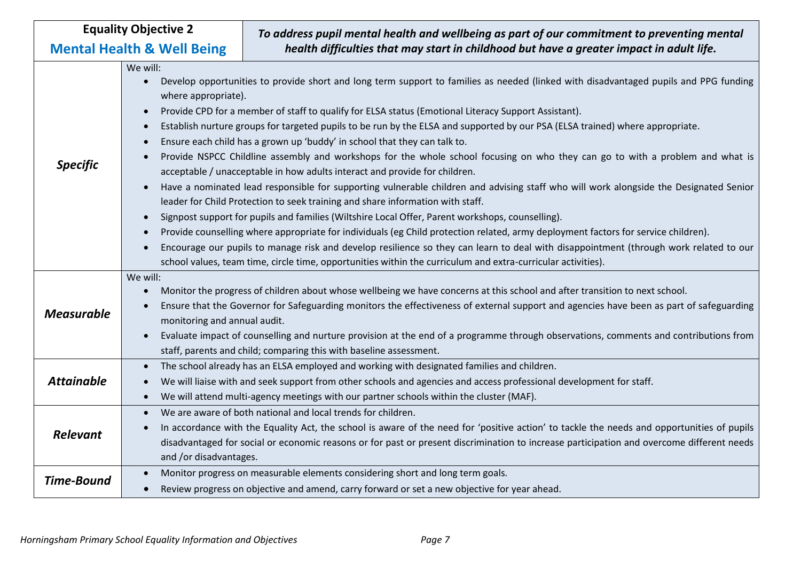| <b>Equality Objective 2</b>           |                                                                                                                               | To address pupil mental health and wellbeing as part of our commitment to preventing mental                                                |  |  |
|---------------------------------------|-------------------------------------------------------------------------------------------------------------------------------|--------------------------------------------------------------------------------------------------------------------------------------------|--|--|
| <b>Mental Health &amp; Well Being</b> |                                                                                                                               | health difficulties that may start in childhood but have a greater impact in adult life.                                                   |  |  |
|                                       | We will:                                                                                                                      |                                                                                                                                            |  |  |
|                                       | $\bullet$                                                                                                                     | Develop opportunities to provide short and long term support to families as needed (linked with disadvantaged pupils and PPG funding       |  |  |
| <b>Specific</b>                       | where appropriate).                                                                                                           |                                                                                                                                            |  |  |
|                                       |                                                                                                                               | Provide CPD for a member of staff to qualify for ELSA status (Emotional Literacy Support Assistant).                                       |  |  |
|                                       | $\bullet$                                                                                                                     | Establish nurture groups for targeted pupils to be run by the ELSA and supported by our PSA (ELSA trained) where appropriate.              |  |  |
|                                       |                                                                                                                               | Ensure each child has a grown up 'buddy' in school that they can talk to.                                                                  |  |  |
|                                       | Provide NSPCC Childline assembly and workshops for the whole school focusing on who they can go to with a problem and what is |                                                                                                                                            |  |  |
|                                       |                                                                                                                               | acceptable / unacceptable in how adults interact and provide for children.                                                                 |  |  |
|                                       | $\bullet$                                                                                                                     | Have a nominated lead responsible for supporting vulnerable children and advising staff who will work alongside the Designated Senior      |  |  |
|                                       | leader for Child Protection to seek training and share information with staff.                                                |                                                                                                                                            |  |  |
|                                       | Signpost support for pupils and families (Wiltshire Local Offer, Parent workshops, counselling).                              |                                                                                                                                            |  |  |
|                                       |                                                                                                                               | Provide counselling where appropriate for individuals (eg Child protection related, army deployment factors for service children).         |  |  |
|                                       |                                                                                                                               | Encourage our pupils to manage risk and develop resilience so they can learn to deal with disappointment (through work related to our      |  |  |
|                                       |                                                                                                                               | school values, team time, circle time, opportunities within the curriculum and extra-curricular activities).                               |  |  |
| We will:                              |                                                                                                                               |                                                                                                                                            |  |  |
| <b>Measurable</b>                     | $\bullet$                                                                                                                     | Monitor the progress of children about whose wellbeing we have concerns at this school and after transition to next school.                |  |  |
|                                       |                                                                                                                               | Ensure that the Governor for Safeguarding monitors the effectiveness of external support and agencies have been as part of safeguarding    |  |  |
|                                       | monitoring and annual audit.                                                                                                  |                                                                                                                                            |  |  |
|                                       | $\bullet$                                                                                                                     | Evaluate impact of counselling and nurture provision at the end of a programme through observations, comments and contributions from       |  |  |
|                                       |                                                                                                                               | staff, parents and child; comparing this with baseline assessment.                                                                         |  |  |
|                                       | $\bullet$                                                                                                                     | The school already has an ELSA employed and working with designated families and children.                                                 |  |  |
| <b>Attainable</b>                     |                                                                                                                               | We will liaise with and seek support from other schools and agencies and access professional development for staff.                        |  |  |
|                                       |                                                                                                                               | We will attend multi-agency meetings with our partner schools within the cluster (MAF).                                                    |  |  |
| <b>Relevant</b>                       | $\bullet$                                                                                                                     | We are aware of both national and local trends for children.                                                                               |  |  |
|                                       |                                                                                                                               | In accordance with the Equality Act, the school is aware of the need for 'positive action' to tackle the needs and opportunities of pupils |  |  |
|                                       |                                                                                                                               | disadvantaged for social or economic reasons or for past or present discrimination to increase participation and overcome different needs  |  |  |
|                                       | and /or disadvantages.                                                                                                        |                                                                                                                                            |  |  |
| <b>Time-Bound</b>                     |                                                                                                                               | Monitor progress on measurable elements considering short and long term goals.                                                             |  |  |
|                                       |                                                                                                                               | Review progress on objective and amend, carry forward or set a new objective for year ahead.                                               |  |  |